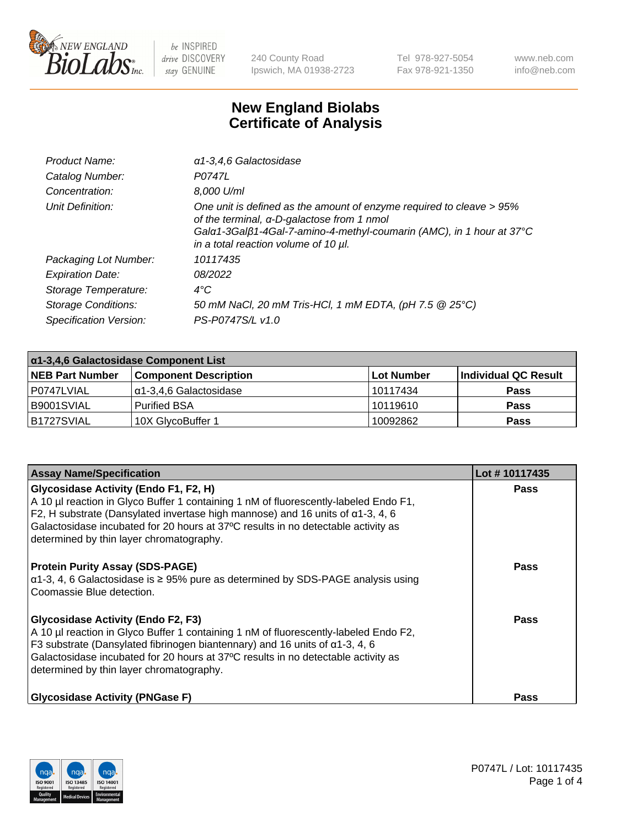

240 County Road Ipswich, MA 01938-2723 Tel 978-927-5054 Fax 978-921-1350 www.neb.com info@neb.com

## **New England Biolabs Certificate of Analysis**

| Product Name:              | a1-3,4,6 Galactosidase                                                                                                                                                                                                                    |
|----------------------------|-------------------------------------------------------------------------------------------------------------------------------------------------------------------------------------------------------------------------------------------|
| Catalog Number:            | P0747L                                                                                                                                                                                                                                    |
| Concentration:             | 8,000 U/ml                                                                                                                                                                                                                                |
| Unit Definition:           | One unit is defined as the amount of enzyme required to cleave > 95%<br>of the terminal, α-D-galactose from 1 nmol<br>Gala 1-3Galß 1-4Gal-7-amino-4-methyl-coumarin (AMC), in 1 hour at 37°C<br>in a total reaction volume of 10 $\mu$ l. |
| Packaging Lot Number:      | 10117435                                                                                                                                                                                                                                  |
| <b>Expiration Date:</b>    | 08/2022                                                                                                                                                                                                                                   |
| Storage Temperature:       | $4^{\circ}$ C                                                                                                                                                                                                                             |
| <b>Storage Conditions:</b> | 50 mM NaCl, 20 mM Tris-HCl, 1 mM EDTA, (pH 7.5 @ 25°C)                                                                                                                                                                                    |
| Specification Version:     | PS-P0747S/L v1.0                                                                                                                                                                                                                          |

| α1-3,4,6 Galactosidase Component List |                              |             |                      |  |
|---------------------------------------|------------------------------|-------------|----------------------|--|
| <b>NEB Part Number</b>                | <b>Component Description</b> | ⊺Lot Number | Individual QC Result |  |
| P0747LVIAL                            | α1-3,4,6 Galactosidase       | 10117434    | <b>Pass</b>          |  |
| B9001SVIAL                            | <b>Purified BSA</b>          | 10119610    | <b>Pass</b>          |  |
| B1727SVIAL                            | 10X GlycoBuffer 1            | 10092862    | <b>Pass</b>          |  |

| <b>Assay Name/Specification</b>                                                                                                                                                                                                                                                                                                                                 | Lot #10117435 |
|-----------------------------------------------------------------------------------------------------------------------------------------------------------------------------------------------------------------------------------------------------------------------------------------------------------------------------------------------------------------|---------------|
| <b>Glycosidase Activity (Endo F1, F2, H)</b><br>A 10 µl reaction in Glyco Buffer 1 containing 1 nM of fluorescently-labeled Endo F1,<br>F2, H substrate (Dansylated invertase high mannose) and 16 units of $\alpha$ 1-3, 4, 6<br>Galactosidase incubated for 20 hours at 37°C results in no detectable activity as<br>determined by thin layer chromatography. | <b>Pass</b>   |
| <b>Protein Purity Assay (SDS-PAGE)</b><br>$\alpha$ 1-3, 4, 6 Galactosidase is $\geq$ 95% pure as determined by SDS-PAGE analysis using<br>Coomassie Blue detection.                                                                                                                                                                                             | Pass          |
| <b>Glycosidase Activity (Endo F2, F3)</b><br>A 10 µl reaction in Glyco Buffer 1 containing 1 nM of fluorescently-labeled Endo F2,<br>F3 substrate (Dansylated fibrinogen biantennary) and 16 units of $\alpha$ 1-3, 4, 6<br>Galactosidase incubated for 20 hours at 37°C results in no detectable activity as<br>determined by thin layer chromatography.       | Pass          |
| <b>Glycosidase Activity (PNGase F)</b>                                                                                                                                                                                                                                                                                                                          | <b>Pass</b>   |

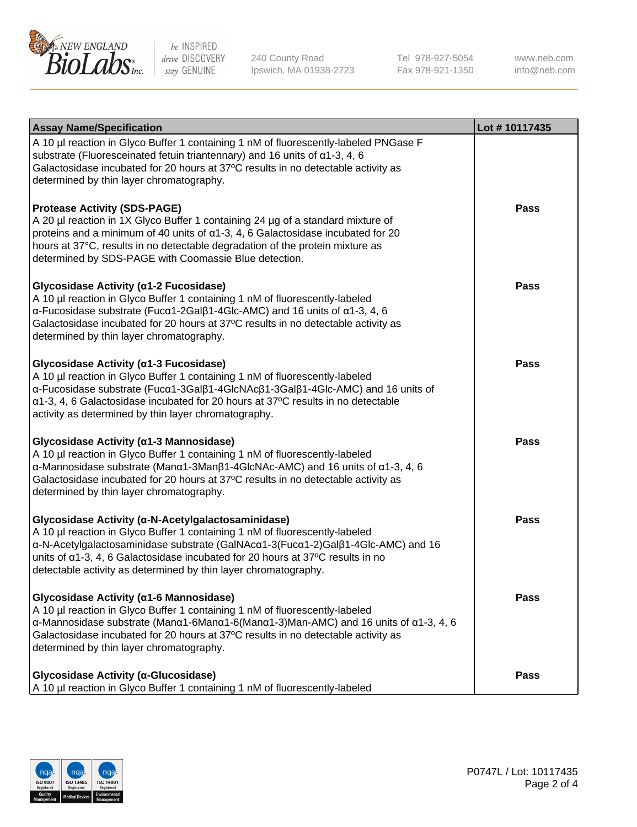

240 County Road Ipswich, MA 01938-2723 Tel 978-927-5054 Fax 978-921-1350 www.neb.com info@neb.com

| <b>Assay Name/Specification</b>                                                                                                                                                                                                                                                                                                                                                              | Lot #10117435 |
|----------------------------------------------------------------------------------------------------------------------------------------------------------------------------------------------------------------------------------------------------------------------------------------------------------------------------------------------------------------------------------------------|---------------|
| A 10 µl reaction in Glyco Buffer 1 containing 1 nM of fluorescently-labeled PNGase F<br>substrate (Fluoresceinated fetuin triantennary) and 16 units of $\alpha$ 1-3, 4, 6<br>Galactosidase incubated for 20 hours at 37°C results in no detectable activity as<br>determined by thin layer chromatography.                                                                                  |               |
| <b>Protease Activity (SDS-PAGE)</b><br>A 20 µl reaction in 1X Glyco Buffer 1 containing 24 µg of a standard mixture of<br>proteins and a minimum of 40 units of $\alpha$ 1-3, 4, 6 Galactosidase incubated for 20<br>hours at 37°C, results in no detectable degradation of the protein mixture as<br>determined by SDS-PAGE with Coomassie Blue detection.                                  | Pass          |
| Glycosidase Activity (α1-2 Fucosidase)<br>A 10 µl reaction in Glyco Buffer 1 containing 1 nM of fluorescently-labeled<br>$\alpha$ -Fucosidase substrate (Fuc $\alpha$ 1-2Gal $\beta$ 1-4Glc-AMC) and 16 units of $\alpha$ 1-3, 4, 6<br>Galactosidase incubated for 20 hours at 37°C results in no detectable activity as<br>determined by thin layer chromatography.                         | Pass          |
| Glycosidase Activity (α1-3 Fucosidase)<br>A 10 µl reaction in Glyco Buffer 1 containing 1 nM of fluorescently-labeled<br>α-Fucosidase substrate (Fucα1-3Galβ1-4GlcNAcβ1-3Galβ1-4Glc-AMC) and 16 units of<br>α1-3, 4, 6 Galactosidase incubated for 20 hours at 37°C results in no detectable<br>activity as determined by thin layer chromatography.                                         | Pass          |
| Glycosidase Activity (α1-3 Mannosidase)<br>A 10 µl reaction in Glyco Buffer 1 containing 1 nM of fluorescently-labeled<br>$\alpha$ -Mannosidase substrate (Man $\alpha$ 1-3Man $\beta$ 1-4GlcNAc-AMC) and 16 units of $\alpha$ 1-3, 4, 6<br>Galactosidase incubated for 20 hours at 37°C results in no detectable activity as<br>determined by thin layer chromatography.                    | <b>Pass</b>   |
| Glycosidase Activity (α-N-Acetylgalactosaminidase)<br>A 10 µl reaction in Glyco Buffer 1 containing 1 nM of fluorescently-labeled<br>α-N-Acetylgalactosaminidase substrate (GalNAcα1-3(Fucα1-2)Galβ1-4Glc-AMC) and 16<br>units of $\alpha$ 1-3, 4, 6 Galactosidase incubated for 20 hours at 37 $\degree$ C results in no<br>detectable activity as determined by thin layer chromatography. | Pass          |
| Glycosidase Activity (α1-6 Mannosidase)<br>A 10 µl reaction in Glyco Buffer 1 containing 1 nM of fluorescently-labeled<br>$\alpha$ -Mannosidase substrate (Man $\alpha$ 1-6Man $\alpha$ 1-6(Man $\alpha$ 1-3)Man-AMC) and 16 units of $\alpha$ 1-3, 4, 6<br>Galactosidase incubated for 20 hours at 37°C results in no detectable activity as<br>determined by thin layer chromatography.    | Pass          |
| Glycosidase Activity (α-Glucosidase)<br>A 10 µl reaction in Glyco Buffer 1 containing 1 nM of fluorescently-labeled                                                                                                                                                                                                                                                                          | <b>Pass</b>   |

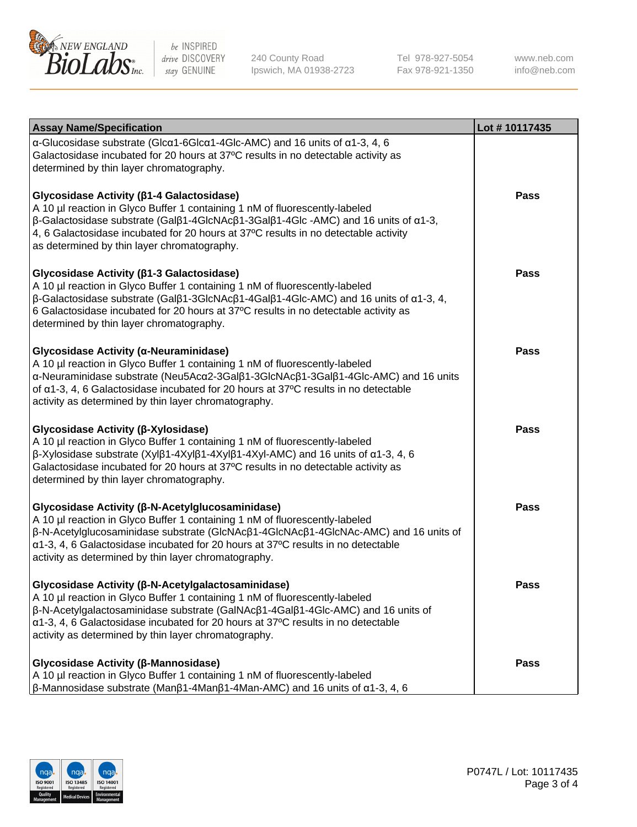

240 County Road Ipswich, MA 01938-2723 Tel 978-927-5054 Fax 978-921-1350 www.neb.com info@neb.com

| <b>Assay Name/Specification</b>                                                                                                                                                                                                                                                                                                                                                             | Lot #10117435 |
|---------------------------------------------------------------------------------------------------------------------------------------------------------------------------------------------------------------------------------------------------------------------------------------------------------------------------------------------------------------------------------------------|---------------|
| $\alpha$ -Glucosidase substrate (Glc $\alpha$ 1-6Glc $\alpha$ 1-4Glc-AMC) and 16 units of $\alpha$ 1-3, 4, 6<br>Galactosidase incubated for 20 hours at 37°C results in no detectable activity as<br>determined by thin layer chromatography.                                                                                                                                               |               |
| Glycosidase Activity (β1-4 Galactosidase)<br>A 10 µl reaction in Glyco Buffer 1 containing 1 nM of fluorescently-labeled<br>$\beta$ -Galactosidase substrate (Gal $\beta$ 1-4GlcNAc $\beta$ 1-3Gal $\beta$ 1-4Glc -AMC) and 16 units of $\alpha$ 1-3,<br>4, 6 Galactosidase incubated for 20 hours at 37°C results in no detectable activity<br>as determined by thin layer chromatography. | Pass          |
| Glycosidase Activity (β1-3 Galactosidase)<br>A 10 µl reaction in Glyco Buffer 1 containing 1 nM of fluorescently-labeled<br>β-Galactosidase substrate (Galβ1-3GlcNAcβ1-4Galβ1-4Glc-AMC) and 16 units of α1-3, 4,<br>6 Galactosidase incubated for 20 hours at 37°C results in no detectable activity as<br>determined by thin layer chromatography.                                         | Pass          |
| Glycosidase Activity (α-Neuraminidase)<br>A 10 µl reaction in Glyco Buffer 1 containing 1 nM of fluorescently-labeled<br>α-Neuraminidase substrate (Neu5Acα2-3Galβ1-3GlcNAcβ1-3Galβ1-4Glc-AMC) and 16 units<br>of $\alpha$ 1-3, 4, 6 Galactosidase incubated for 20 hours at 37°C results in no detectable<br>activity as determined by thin layer chromatography.                          | <b>Pass</b>   |
| Glycosidase Activity (β-Xylosidase)<br>A 10 µl reaction in Glyco Buffer 1 containing 1 nM of fluorescently-labeled<br>$\beta$ -Xylosidase substrate (Xylβ1-4Xylβ1-4Xylβ1-4Xyl-AMC) and 16 units of α1-3, 4, 6<br>Galactosidase incubated for 20 hours at 37°C results in no detectable activity as<br>determined by thin layer chromatography.                                              | <b>Pass</b>   |
| Glycosidase Activity (β-N-Acetylglucosaminidase)<br>A 10 µl reaction in Glyco Buffer 1 containing 1 nM of fluorescently-labeled<br>β-N-Acetylglucosaminidase substrate (GIcNAcβ1-4GIcNAcβ1-4GIcNAc-AMC) and 16 units of<br>α1-3, 4, 6 Galactosidase incubated for 20 hours at 37°C results in no detectable<br>activity as determined by thin layer chromatography.                         | Pass          |
| Glycosidase Activity (β-N-Acetylgalactosaminidase)<br>A 10 µl reaction in Glyco Buffer 1 containing 1 nM of fluorescently-labeled<br>β-N-Acetylgalactosaminidase substrate (GalNAcβ1-4Galβ1-4Glc-AMC) and 16 units of<br>$\alpha$ 1-3, 4, 6 Galactosidase incubated for 20 hours at 37°C results in no detectable<br>activity as determined by thin layer chromatography.                   | <b>Pass</b>   |
| Glycosidase Activity (β-Mannosidase)<br>A 10 µl reaction in Glyco Buffer 1 containing 1 nM of fluorescently-labeled<br>$\beta$ -Mannosidase substrate (Manβ1-4Manβ1-4Man-AMC) and 16 units of $\alpha$ 1-3, 4, 6                                                                                                                                                                            | Pass          |